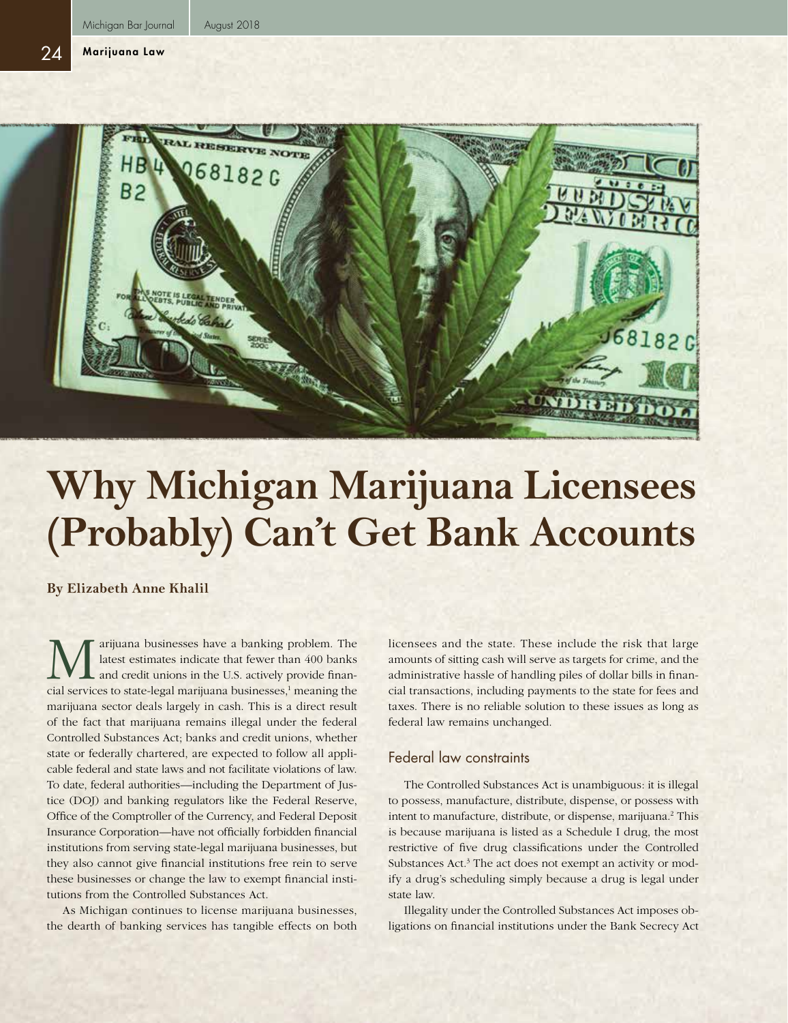24



# **Why Michigan Marijuana Licensees (Probably) Can't Get Bank Accounts**

**By Elizabeth Anne Khalil**

**M** arijuana businesses have a banking problem. The latest estimates indicate that fewer than 400 banks and credit unions in the U.S. actively provide financial services to state-legal marijuana businesses <sup>1</sup> meaning the latest estimates indicate that fewer than 400 banks and credit unions in the U.S. actively provide financial services to state-legal marijuana businesses,<sup>1</sup> meaning the marijuana sector deals largely in cash. This is a direct result of the fact that marijuana remains illegal under the federal Controlled Substances Act; banks and credit unions, whether state or federally chartered, are expected to follow all applicable federal and state laws and not facilitate violations of law. To date, federal authorities—including the Department of Justice (DOJ) and banking regulators like the Federal Reserve, Office of the Comptroller of the Currency, and Federal Deposit Insurance Corporation—have not officially forbidden financial institutions from serving state-legal marijuana businesses, but they also cannot give financial institutions free rein to serve these businesses or change the law to exempt financial institutions from the Controlled Substances Act.

As Michigan continues to license marijuana businesses, the dearth of banking services has tangible effects on both licensees and the state. These include the risk that large amounts of sitting cash will serve as targets for crime, and the administrative hassle of handling piles of dollar bills in financial transactions, including payments to the state for fees and taxes. There is no reliable solution to these issues as long as federal law remains unchanged.

## Federal law constraints

The Controlled Substances Act is unambiguous: it is illegal to possess, manufacture, distribute, dispense, or possess with intent to manufacture, distribute, or dispense, marijuana.<sup>2</sup> This is because marijuana is listed as a Schedule I drug, the most restrictive of five drug classifications under the Controlled Substances Act.<sup>3</sup> The act does not exempt an activity or modify a drug's scheduling simply because a drug is legal under state law.

Illegality under the Controlled Substances Act imposes obligations on financial institutions under the Bank Secrecy Act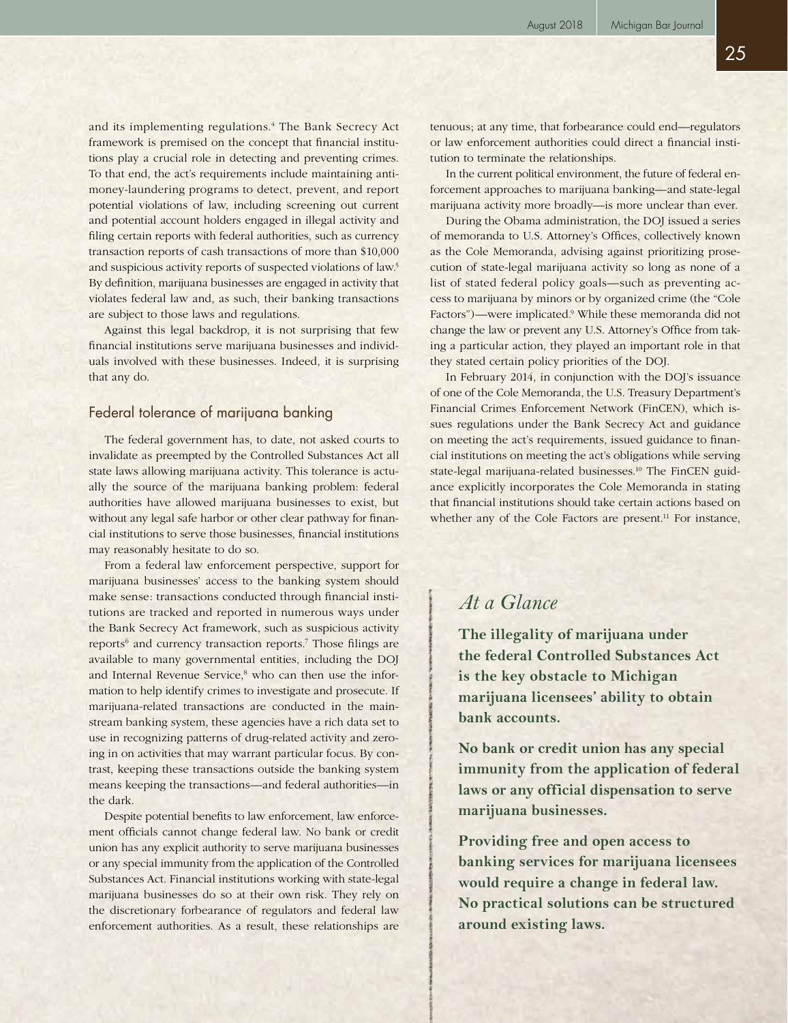and its implementing regulations.<sup>4</sup> The Bank Secrecy Act framework is premised on the concept that financial institutions play a crucial role in detecting and preventing crimes. To that end, the act's requirements include maintaining antimoney-laundering programs to detect, prevent, and report potential violations of law, including screening out current and potential account holders engaged in illegal activity and filing certain reports with federal authorities, such as currency transaction reports of cash transactions of more than \$10,000 and suspicious activity reports of suspected violations of law.5 By definition, marijuana businesses are engaged in activity that violates federal law and, as such, their banking transactions are subject to those laws and regulations.

Against this legal backdrop, it is not surprising that few financial institutions serve marijuana businesses and individuals involved with these businesses. Indeed, it is surprising that any do.

## Federal tolerance of marijuana banking

The federal government has, to date, not asked courts to invalidate as preempted by the Controlled Substances Act all state laws allowing marijuana activity. This tolerance is actually the source of the marijuana banking problem: federal authorities have allowed marijuana businesses to exist, but without any legal safe harbor or other clear pathway for financial institutions to serve those businesses, financial institutions may reasonably hesitate to do so.

From a federal law enforcement perspective, support for marijuana businesses' access to the banking system should make sense: transactions conducted through financial institutions are tracked and reported in numerous ways under the Bank Secrecy Act framework, such as suspicious activity reports<sup>6</sup> and currency transaction reports.<sup>7</sup> Those filings are available to many governmental entities, including the DOJ and Internal Revenue Service,<sup>8</sup> who can then use the information to help identify crimes to investigate and prosecute. If marijuana-related transactions are conducted in the mainstream banking system, these agencies have a rich data set to use in recognizing patterns of drug-related activity and zeroing in on activities that may warrant particular focus. By contrast, keeping these transactions outside the banking system means keeping the transactions—and federal authorities—in the dark.

Despite potential benefits to law enforcement, law enforcement officials cannot change federal law. No bank or credit union has any explicit authority to serve marijuana businesses or any special immunity from the application of the Controlled Substances Act. Financial institutions working with state-legal marijuana businesses do so at their own risk. They rely on the discretionary forbearance of regulators and federal law enforcement authorities. As a result, these relationships are

tenuous; at any time, that forbearance could end—regulators or law enforcement authorities could direct a financial institution to terminate the relationships.

In the current political environment, the future of federal enforcement approaches to marijuana banking—and state-legal marijuana activity more broadly—is more unclear than ever.

During the Obama administration, the DOJ issued a series of memoranda to U.S. Attorney's Offices, collectively known as the Cole Memoranda, advising against prioritizing prosecution of state-legal marijuana activity so long as none of a list of stated federal policy goals—such as preventing access to marijuana by minors or by organized crime (the "Cole Factors")—were implicated.<sup>9</sup> While these memoranda did not change the law or prevent any U.S. Attorney's Office from taking a particular action, they played an important role in that they stated certain policy priorities of the DOJ.

In February 2014, in conjunction with the DOJ's issuance of one of the Cole Memoranda, the U.S. Treasury Department's Financial Crimes Enforcement Network (FinCEN), which issues regulations under the Bank Secrecy Act and guidance on meeting the act's requirements, issued guidance to financial institutions on meeting the act's obligations while serving state-legal marijuana-related businesses.<sup>10</sup> The FinCEN guidance explicitly incorporates the Cole Memoranda in stating that financial institutions should take certain actions based on whether any of the Cole Factors are present.<sup>11</sup> For instance,

# *At a Glance*

**The illegality of marijuana under the federal Controlled Substances Act is the key obstacle to Michigan marijuana licensees' ability to obtain bank accounts.**

**No bank or credit union has any special immunity from the application of federal laws or any official dispensation to serve marijuana businesses.**

**Providing free and open access to banking services for marijuana licensees would require a change in federal law. No practical solutions can be structured around existing laws.**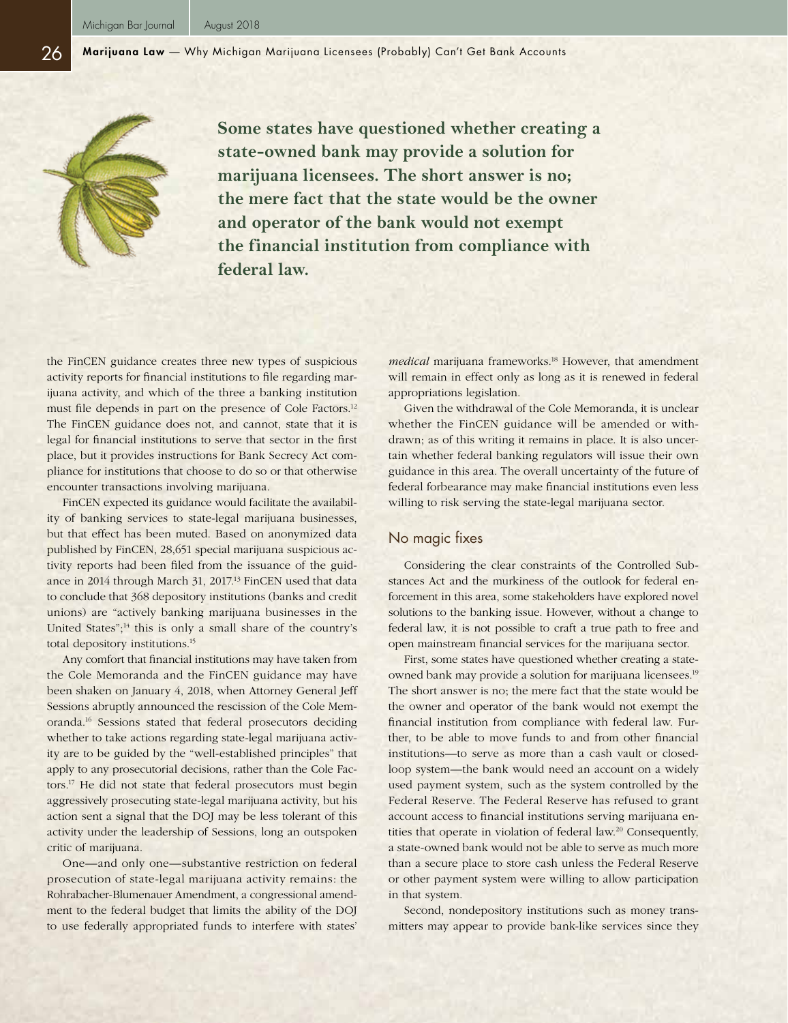**Some states have questioned whether creating a state-owned bank may provide a solution for marijuana licensees. The short answer is no; the mere fact that the state would be the owner and operator of the bank would not exempt the financial institution from compliance with federal law.**

the FinCEN guidance creates three new types of suspicious activity reports for financial institutions to file regarding marijuana activity, and which of the three a banking institution must file depends in part on the presence of Cole Factors.12 The FinCEN guidance does not, and cannot, state that it is legal for financial institutions to serve that sector in the first place, but it provides instructions for Bank Secrecy Act compliance for institutions that choose to do so or that otherwise encounter transactions involving marijuana.

FinCEN expected its guidance would facilitate the availability of banking services to state-legal marijuana businesses, but that effect has been muted. Based on anonymized data published by FinCEN, 28,651 special marijuana suspicious activity reports had been filed from the issuance of the guidance in 2014 through March 31, 2017.<sup>13</sup> FinCEN used that data to conclude that 368 depository institutions (banks and credit unions) are "actively banking marijuana businesses in the United States";14 this is only a small share of the country's total depository institutions.15

Any comfort that financial institutions may have taken from the Cole Memoranda and the FinCEN guidance may have been shaken on January 4, 2018, when Attorney General Jeff Sessions abruptly announced the rescission of the Cole Memoranda.16 Sessions stated that federal prosecutors deciding whether to take actions regarding state-legal marijuana activity are to be guided by the "well-established principles" that apply to any prosecutorial decisions, rather than the Cole Factors.17 He did not state that federal prosecutors must begin aggressively prosecuting state-legal marijuana activity, but his action sent a signal that the DOJ may be less tolerant of this activity under the leadership of Sessions, long an outspoken critic of marijuana.

One—and only one—substantive restriction on federal prosecution of state-legal marijuana activity remains: the Rohrabacher-Blumenauer Amendment, a congressional amendment to the federal budget that limits the ability of the DOJ to use federally appropriated funds to interfere with states'

*medical* marijuana frameworks.<sup>18</sup> However, that amendment will remain in effect only as long as it is renewed in federal appropriations legislation.

Given the withdrawal of the Cole Memoranda, it is unclear whether the FinCEN guidance will be amended or withdrawn; as of this writing it remains in place. It is also uncertain whether federal banking regulators will issue their own guidance in this area. The overall uncertainty of the future of federal forbearance may make financial institutions even less willing to risk serving the state-legal marijuana sector.

#### No magic fixes

Considering the clear constraints of the Controlled Substances Act and the murkiness of the outlook for federal enforcement in this area, some stakeholders have explored novel solutions to the banking issue. However, without a change to federal law, it is not possible to craft a true path to free and open mainstream financial services for the marijuana sector.

First, some states have questioned whether creating a stateowned bank may provide a solution for marijuana licensees.19 The short answer is no; the mere fact that the state would be the owner and operator of the bank would not exempt the financial institution from compliance with federal law. Further, to be able to move funds to and from other financial institutions—to serve as more than a cash vault or closedloop system—the bank would need an account on a widely used payment system, such as the system controlled by the Federal Reserve. The Federal Reserve has refused to grant account access to financial institutions serving marijuana entities that operate in violation of federal law.<sup>20</sup> Consequently, a state-owned bank would not be able to serve as much more than a secure place to store cash unless the Federal Reserve or other payment system were willing to allow participation in that system.

Second, nondepository institutions such as money transmitters may appear to provide bank-like services since they